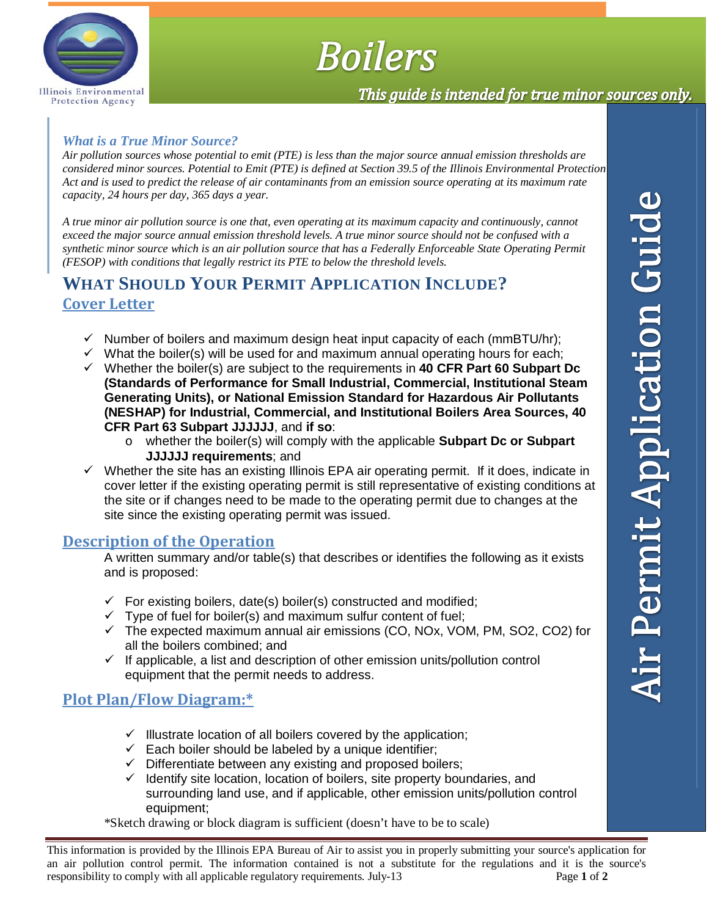

# **Boilers**

# This guide is intended for true minor sources only.

#### *What is a True Minor Source?*

*Air pollution sources whose potential to emit (PTE) is less than the major source annual emission thresholds are considered minor sources. Potential to Emit (PTE) is defined at Section 39.5 of the Illinois Environmental Protection Act and is used to predict the release of air contaminants from an emission source operating at its maximum rate capacity, 24 hours per day, 365 days a year.* 

*A true minor air pollution source is one that, even operating at its maximum capacity and continuously, cannot exceed the major source annual emission threshold levels. A true minor source should not be confused with a synthetic minor source which is an air pollution source that has a Federally Enforceable State Operating Permit (FESOP) with conditions that legally restrict its PTE to below the threshold levels.* 

# **WHAT SHOULD YOUR PERMIT APPLICATION INCLUDE? Cover Letter**

- $\checkmark$  Number of boilers and maximum design heat input capacity of each (mmBTU/hr);
- $\checkmark$  What the boiler(s) will be used for and maximum annual operating hours for each:
- Whether the boiler(s) are subject to the requirements in **40 CFR Part 60 Subpart Dc (Standards of Performance for Small Industrial, Commercial, Institutional Steam Generating Units), or National Emission Standard for Hazardous Air Pollutants (NESHAP) for Industrial, Commercial, and Institutional Boilers Area Sources, 40 CFR Part 63 Subpart JJJJJJ**, and **if so**:
	- o whether the boiler(s) will comply with the applicable **Subpart Dc or Subpart JJJJJJ requirements**; and
- $\checkmark$  Whether the site has an existing Illinois EPA air operating permit. If it does, indicate in cover letter if the existing operating permit is still representative of existing conditions at the site or if changes need to be made to the operating permit due to changes at the site since the existing operating permit was issued.

#### **Description of the Operation**

A written summary and/or table(s) that describes or identifies the following as it exists and is proposed:

- $\checkmark$  For existing boilers, date(s) boiler(s) constructed and modified;
- $\checkmark$  Type of fuel for boiler(s) and maximum sulfur content of fuel;
- $\checkmark$  The expected maximum annual air emissions (CO, NOx, VOM, PM, SO2, CO2) for all the boilers combined; and
- $\checkmark$  If applicable, a list and description of other emission units/pollution control equipment that the permit needs to address.

#### **Plot Plan/Flow Diagram:\***

- $\checkmark$  Illustrate location of all boilers covered by the application;
- $\checkmark$  Each boiler should be labeled by a unique identifier;
- $\checkmark$  Differentiate between any existing and proposed boilers;
- $\checkmark$  Identify site location, location of boilers, site property boundaries, and surrounding land use, and if applicable, other emission units/pollution control equipment;
- \*Sketch drawing or block diagram is sufficient (doesn't have to be to scale)

This information is provided by the Illinois EPA Bureau of Air to assist you in properly submitting your source's application for an air pollution control permit. The information contained is not a substitute for the regulations and it is the source's responsibility to comply with all applicable regulatory requirements. July-13 Page **1** of **2**